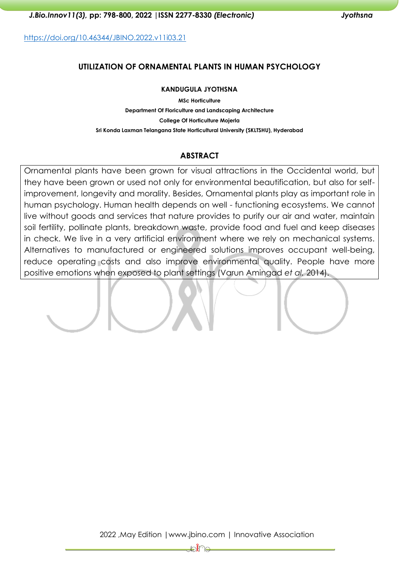<https://doi.org/10.46344/JBINO.2022.v11i03.21>

#### **UTILIZATION OF ORNAMENTAL PLANTS IN HUMAN PSYCHOLOGY**

#### **KANDUGULA JYOTHSNA**

**MSc Horticulture Department Of Floriculture and Landscaping Architecture College Of Horticulture Mojerla Sri Konda Laxman Telangana State Horticultural University (SKLTSHU), Hyderabad**

#### **ABSTRACT**

Ornamental plants have been grown for visual attractions in the Occidental world, but they have been grown or used not only for environmental beautification, but also for selfimprovement, longevity and morality. Besides, Ornamental plants play as important role in human psychology. Human health depends on well - functioning ecosystems. We cannot live without goods and services that nature provides to purify our air and water, maintain soil fertility, pollinate plants, breakdown waste, provide food and fuel and keep diseases in check. We live in a very artificial environment where we rely on mechanical systems. Alternatives to manufactured or engineered solutions improves occupant well-being, reduce operating costs and also improve environmental quality. People have more positive emotions when exposed to plant settings (Varun Amingad *et al.* 2014).

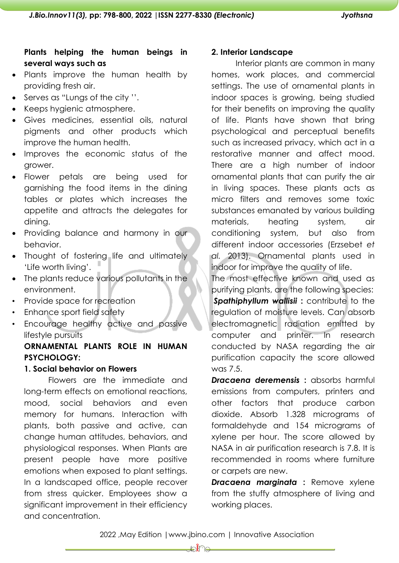# **Plants helping the human beings in several ways such as**

- Plants improve the human health by providing fresh air.
- Serves as "Lungs of the city ''.
- Keeps hygienic atmosphere.
- Gives medicines, essential oils, natural pigments and other products which improve the human health.
- Improves the economic status of the grower.
- Flower petals are being used for garnishing the food items in the dining tables or plates which increases the appetite and attracts the delegates for dining.
- Providing balance and harmony in our behavior.
- Thought of fostering life and ultimately 'Life worth living'.
- The plants reduce various pollutants in the environment.
- Provide space for recreation
- Enhance sport field safety
- Encourage healthy active and passive lifestyle pursuits

# **ORNAMENTAL PLANTS ROLE IN HUMAN PSYCHOLOGY:**

# **1. Social behavior on Flowers**

Flowers are the immediate and long-term effects on emotional reactions, mood, social behaviors and even memory for humans. Interaction with plants, both passive and active, can change human attitudes, behaviors, and physiological responses. When Plants are present people have more positive emotions when exposed to plant settings. In a landscaped office, people recover from stress quicker. Employees show a significant improvement in their efficiency and concentration.

### **2. Interior Landscape**

Interior plants are common in many homes, work places, and commercial settings. The use of ornamental plants in indoor spaces is growing, being studied for their benefits on improving the quality of life. Plants have shown that bring psychological and perceptual benefits such as increased privacy, which act in a restorative manner and affect mood. There are a high number of indoor ornamental plants that can purify the air in living spaces. These plants acts as micro filters and removes some toxic substances emanated by various building materials, heating system, air conditioning system, but also from different indoor accessories (Erzsebet *et al.* 2013). Ornamental plants used in indoor for improve the quality of life.

The most effective known and used as purifying plants, are the following species: *Spathiphyllum wallisii* **:** contribute to the regulation of moisture levels. Can absorb electromagnetic radiation emitted by computer and printer. In research conducted by NASA regarding the air purification capacity the score allowed was 7.5.

*Dracaena deremensis* **:** absorbs harmful emissions from computers, printers and other factors that produce carbon dioxide. Absorb 1.328 micrograms of formaldehyde and 154 micrograms of xylene per hour. The score allowed by NASA in air purification research is 7.8. It is recommended in rooms where furniture or carpets are new.

*Dracaena marginata* **:** Remove xylene from the stuffy atmosphere of living and working places.

2022 ,May Edition |www.jbino.com | Innovative Association